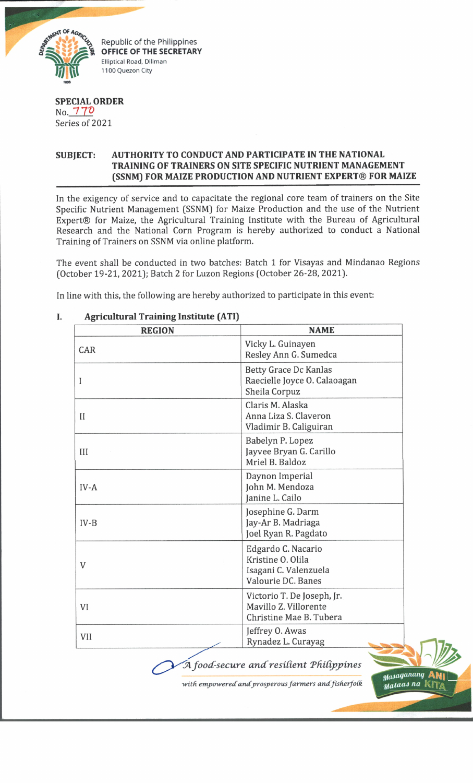

Republic of the Philippines **OFFICE OF THE SECRETARY** Elliptical Road, Diliman 1100 Quezon City

## **SPECIAL ORDER** No. 770 Series of 2021

## **SUBJECT: AUTHORITY TO CONDUCT AND PARTICIPATE IN THE NATIONAL TRAINING OF TRAINERS ON SITE SPECIFIC NUTRIENT MANAGEMENT (SSNM) FOR MAIZE PRODUCTION AND NUTRIENT EXPERT® FOR MAIZE**

In the exigency of service and to capacitate the regional core team of trainers on the Site Specific Nutrient Management (SSNM) for Maize Production and the use of the Nutrient Expert® for Maize, the Agricultural Training Institute with the Bureau of Agricultural Research and the National Corn Program is hereby authorized to conduct a National Training of Trainers on SSNM via online platform.

The event shall be conducted in two batches: Batch 1 for Visayas and Mindanao Regions (October 19-21, 2021); Batch 2 for Luzon Regions (October 26-28, 2021).

In line with this, the following are hereby authorized to participate in this event:

| <b>REGION</b> | <b>NAME</b>                                                                            |
|---------------|----------------------------------------------------------------------------------------|
| CAR           | Vicky L. Guinayen<br>Resley Ann G. Sumedca                                             |
| $\rm I$       | Betty Grace Dc Kanlas<br>Raecielle Joyce O. Calaoagan<br>Sheila Corpuz                 |
| $\mathbf{I}$  | Claris M. Alaska<br>Anna Liza S. Claveron<br>Vladimir B. Caliguiran                    |
| III           | Babelyn P. Lopez<br>Jayvee Bryan G. Carillo<br>Mriel B. Baldoz                         |
| $IV-A$        | Daynon Imperial<br>John M. Mendoza<br>Janine L. Cailo                                  |
| $IV-B$        | Josephine G. Darm<br>Jay-Ar B. Madriaga<br>Joel Ryan R. Pagdato                        |
| V             | Edgardo C. Nacario<br>Kristine O. Olila<br>Isagani C. Valenzuela<br>Valourie DC. Banes |
| VI            | Victorio T. De Joseph, Jr.<br>Mavillo Z. Villorente<br>Christine Mae B. Tubera         |
| <b>VII</b>    | Jeffrey O. Awas<br>Rynadez L. Curayag                                                  |

## **I. Agricultural Training Institute (ATI)**

' *AfoocC-secure ancCresident T did pp ines*

with empowered and prosperous farmers and fisherfolk

*tfaiogaMuiq* AN| *Mataas na* ,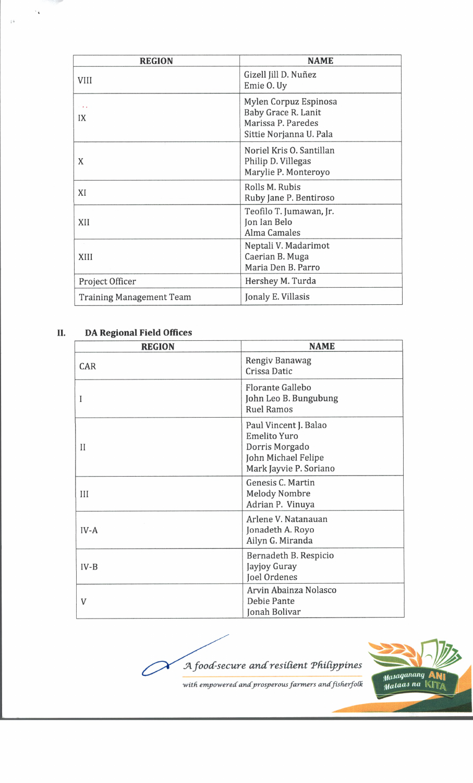| <b>REGION</b>                   | <b>NAME</b>                                                                                   |
|---------------------------------|-----------------------------------------------------------------------------------------------|
| <b>VIII</b>                     | Gizell Jill D. Nuñez<br>Emie O. Uy                                                            |
| $\sim$ 10 $\pm$<br>IX           | Mylen Corpuz Espinosa<br>Baby Grace R. Lanit<br>Marissa P. Paredes<br>Sittie Norjanna U. Pala |
| X                               | Noriel Kris O. Santillan<br>Philip D. Villegas<br>Marylie P. Monteroyo                        |
| XI                              | Rolls M. Rubis<br>Ruby Jane P. Bentiroso                                                      |
| XII                             | Teofilo T. Jumawan, Jr.<br>Jon Ian Belo<br>Alma Camales                                       |
| $\sim$<br>XIII                  | Neptali V. Madarimot<br>Caerian B. Muga<br>Maria Den B. Parro                                 |
| Project Officer                 | Hershey M. Turda                                                                              |
| <b>Training Management Team</b> | Jonaly E. Villasis                                                                            |

## П. **DA Regional Field Offices**

 $\rightarrow$   $_{\rm \tilde{e}}$ 

 $\bar{\chi}$  )

| <b>REGION</b> | <b>NAME</b>                                                                                                     |
|---------------|-----------------------------------------------------------------------------------------------------------------|
| CAR           | Rengiv Banawag<br>Crissa Datic                                                                                  |
| I             | Florante Gallebo<br>John Leo B. Bungubung<br><b>Ruel Ramos</b>                                                  |
| $_{II}$       | Paul Vincent J. Balao<br><b>Emelito Yuro</b><br>Dorris Morgado<br>John Michael Felipe<br>Mark Jayvie P. Soriano |
| III           | Genesis C. Martin<br><b>Melody Nombre</b><br>Adrian P. Vinuya                                                   |
| $IV-A$        | Arlene V. Natanauan<br>Jonadeth A. Royo<br>Ailyn G. Miranda                                                     |
| $IV-B$        | Bernadeth B. Respicio<br>Jayjoy Guray<br>Joel Ordenes                                                           |
| V             | Arvin Abainza Nolasco<br>Debie Pante<br>Jonah Bolivar                                                           |